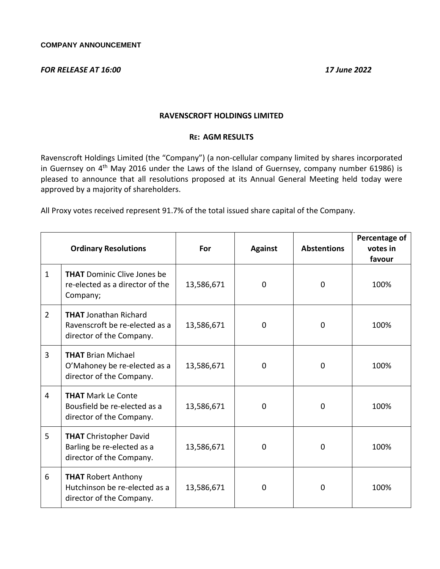## *FOR RELEASE AT 16:00 17 June 2022*

## **RAVENSCROFT HOLDINGS LIMITED**

## **RE: AGM RESULTS**

Ravenscroft Holdings Limited (the "Company") (a non-cellular company limited by shares incorporated in Guernsey on 4<sup>th</sup> May 2016 under the Laws of the Island of Guernsey, company number 61986) is pleased to announce that all resolutions proposed at its Annual General Meeting held today were approved by a majority of shareholders.

All Proxy votes received represent 91.7% of the total issued share capital of the Company.

|                | <b>Ordinary Resolutions</b>                                                                | For        | <b>Against</b> | <b>Abstentions</b> | Percentage of<br>votes in<br>favour |
|----------------|--------------------------------------------------------------------------------------------|------------|----------------|--------------------|-------------------------------------|
| $\mathbf{1}$   | <b>THAT</b> Dominic Clive Jones be<br>re-elected as a director of the<br>Company;          | 13,586,671 | 0              | 0                  | 100%                                |
| $\overline{2}$ | <b>THAT</b> Jonathan Richard<br>Ravenscroft be re-elected as a<br>director of the Company. | 13,586,671 | 0              | 0                  | 100%                                |
| 3              | <b>THAT Brian Michael</b><br>O'Mahoney be re-elected as a<br>director of the Company.      | 13,586,671 | 0              | $\Omega$           | 100%                                |
| 4              | <b>THAT Mark Le Conte</b><br>Bousfield be re-elected as a<br>director of the Company.      | 13,586,671 | 0              | $\Omega$           | 100%                                |
| 5              | <b>THAT</b> Christopher David<br>Barling be re-elected as a<br>director of the Company.    | 13,586,671 | 0              | $\Omega$           | 100%                                |
| 6              | <b>THAT Robert Anthony</b><br>Hutchinson be re-elected as a<br>director of the Company.    | 13,586,671 | 0              | $\Omega$           | 100%                                |